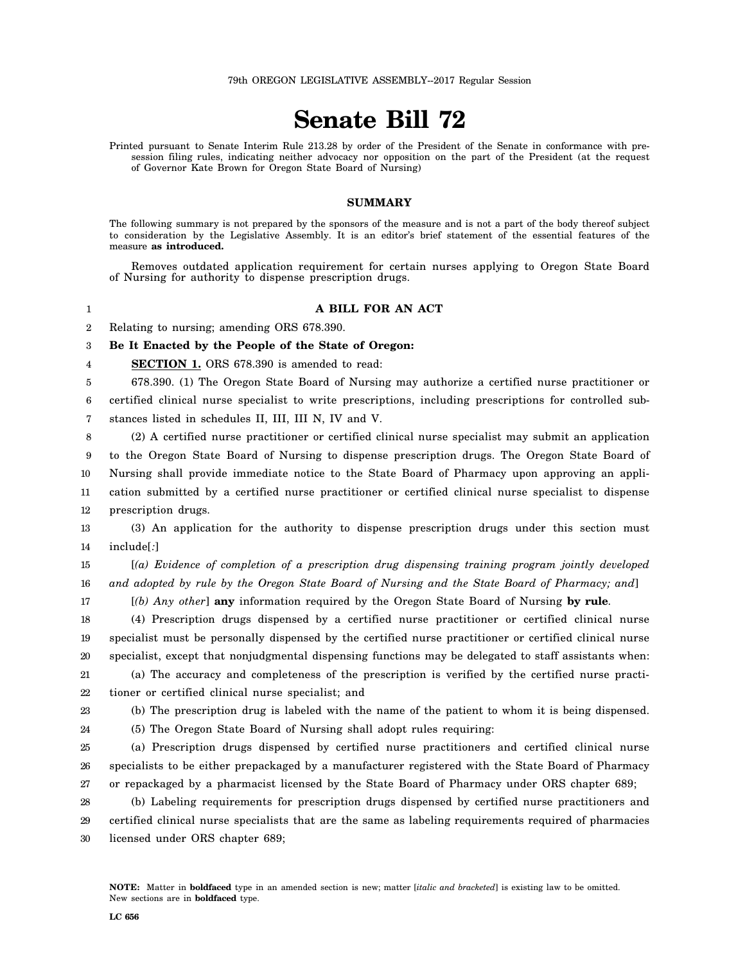## **Senate Bill 72**

Printed pursuant to Senate Interim Rule 213.28 by order of the President of the Senate in conformance with presession filing rules, indicating neither advocacy nor opposition on the part of the President (at the request of Governor Kate Brown for Oregon State Board of Nursing)

## **SUMMARY**

The following summary is not prepared by the sponsors of the measure and is not a part of the body thereof subject to consideration by the Legislative Assembly. It is an editor's brief statement of the essential features of the measure **as introduced.**

Removes outdated application requirement for certain nurses applying to Oregon State Board of Nursing for authority to dispense prescription drugs.

## **A BILL FOR AN ACT**

2 Relating to nursing; amending ORS 678.390.

3 **Be It Enacted by the People of the State of Oregon:**

4 **SECTION 1.** ORS 678.390 is amended to read:

5 678.390. (1) The Oregon State Board of Nursing may authorize a certified nurse practitioner or

6 7 certified clinical nurse specialist to write prescriptions, including prescriptions for controlled substances listed in schedules II, III, III N, IV and V.

8 (2) A certified nurse practitioner or certified clinical nurse specialist may submit an application

9 10 11 to the Oregon State Board of Nursing to dispense prescription drugs. The Oregon State Board of Nursing shall provide immediate notice to the State Board of Pharmacy upon approving an application submitted by a certified nurse practitioner or certified clinical nurse specialist to dispense

12 prescription drugs.

13 14 (3) An application for the authority to dispense prescription drugs under this section must include[*:*]

15 16 [*(a) Evidence of completion of a prescription drug dispensing training program jointly developed and adopted by rule by the Oregon State Board of Nursing and the State Board of Pharmacy; and*]

17

24

1

[*(b) Any other*] **any** information required by the Oregon State Board of Nursing **by rule**.

18 19 20 (4) Prescription drugs dispensed by a certified nurse practitioner or certified clinical nurse specialist must be personally dispensed by the certified nurse practitioner or certified clinical nurse specialist, except that nonjudgmental dispensing functions may be delegated to staff assistants when:

21 22 (a) The accuracy and completeness of the prescription is verified by the certified nurse practitioner or certified clinical nurse specialist; and

23 (b) The prescription drug is labeled with the name of the patient to whom it is being dispensed.

(5) The Oregon State Board of Nursing shall adopt rules requiring:

25 26 27 (a) Prescription drugs dispensed by certified nurse practitioners and certified clinical nurse specialists to be either prepackaged by a manufacturer registered with the State Board of Pharmacy or repackaged by a pharmacist licensed by the State Board of Pharmacy under ORS chapter 689;

28 29 30 (b) Labeling requirements for prescription drugs dispensed by certified nurse practitioners and certified clinical nurse specialists that are the same as labeling requirements required of pharmacies licensed under ORS chapter 689;